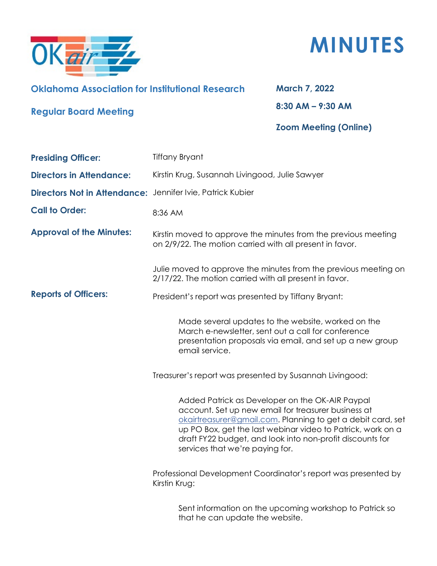



## **Oklahoma Association for Institutional Research**

**Regular Board Meeting**

**March 7, 2022 8:30 AM – 9:30 AM**

## **Zoom Meeting (Online)**

| <b>Presiding Officer:</b>                                  | <b>Tiffany Bryant</b>                                                                                                                                                                                                                                                                                                                |
|------------------------------------------------------------|--------------------------------------------------------------------------------------------------------------------------------------------------------------------------------------------------------------------------------------------------------------------------------------------------------------------------------------|
| <b>Directors in Attendance:</b>                            | Kirstin Krug, Susannah Livingood, Julie Sawyer                                                                                                                                                                                                                                                                                       |
| Directors Not in Attendance: Jennifer Ivie, Patrick Kubier |                                                                                                                                                                                                                                                                                                                                      |
| <b>Call to Order:</b>                                      | 8:36 AM                                                                                                                                                                                                                                                                                                                              |
| <b>Approval of the Minutes:</b>                            | Kirstin moved to approve the minutes from the previous meeting<br>on 2/9/22. The motion carried with all present in favor.                                                                                                                                                                                                           |
|                                                            | Julie moved to approve the minutes from the previous meeting on<br>2/17/22. The motion carried with all present in favor.                                                                                                                                                                                                            |
| <b>Reports of Officers:</b>                                | President's report was presented by Tiffany Bryant:                                                                                                                                                                                                                                                                                  |
|                                                            | Made several updates to the website, worked on the<br>March e-newsletter, sent out a call for conference<br>presentation proposals via email, and set up a new group<br>email service.                                                                                                                                               |
|                                                            | Treasurer's report was presented by Susannah Livingood:                                                                                                                                                                                                                                                                              |
|                                                            | Added Patrick as Developer on the OK-AIR Paypal<br>account. Set up new email for treasurer business at<br>okairtreasurer@gmail.com. Planning to get a debit card, set<br>up PO Box, get the last webinar video to Patrick, work on a<br>draft FY22 budget, and look into non-profit discounts for<br>services that we're paying for. |
|                                                            | Professional Development Coordinator's report was presented by<br>Kirstin Krug:                                                                                                                                                                                                                                                      |
|                                                            | Sent information on the upcoming workshop to Patrick so<br>that he can update the website.                                                                                                                                                                                                                                           |